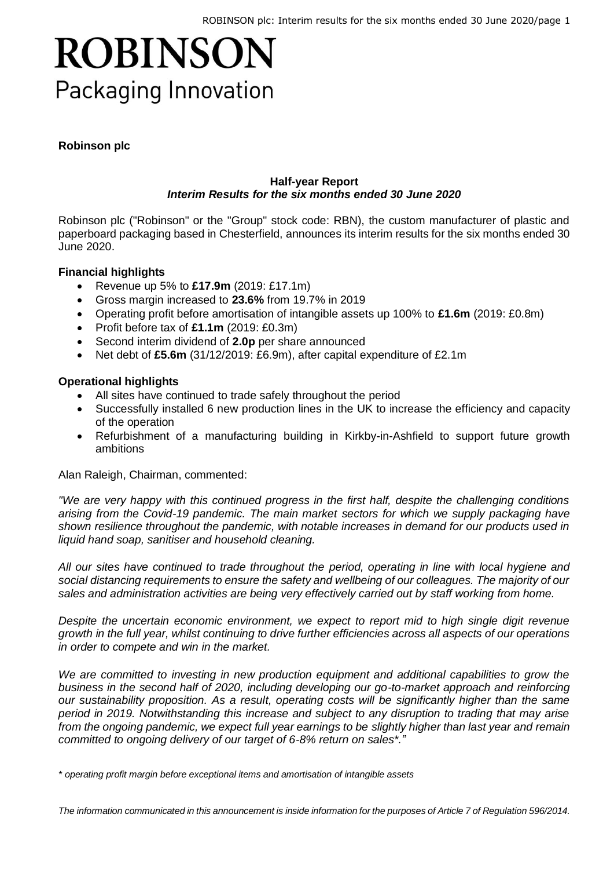# **ROBINSON** Packaging Innovation

### **Robinson plc**

### **Half-year Report** *Interim Results for the six months ended 30 June 2020*

Robinson plc ("Robinson" or the "Group" stock code: RBN), the custom manufacturer of plastic and paperboard packaging based in Chesterfield, announces its interim results for the six months ended 30 June 2020.

### **Financial highlights**

- Revenue up 5% to **£17.9m** (2019: £17.1m)
- Gross margin increased to **23.6%** from 19.7% in 2019
- Operating profit before amortisation of intangible assets up 100% to **£1.6m** (2019: £0.8m)
- Profit before tax of **£1.1m** (2019: £0.3m)
- Second interim dividend of **2.0p** per share announced
- Net debt of **£5.6m** (31/12/2019: £6.9m), after capital expenditure of £2.1m

### **Operational highlights**

- All sites have continued to trade safely throughout the period
- Successfully installed 6 new production lines in the UK to increase the efficiency and capacity of the operation
- Refurbishment of a manufacturing building in Kirkby-in-Ashfield to support future growth ambitions

Alan Raleigh, Chairman, commented:

*"We are very happy with this continued progress in the first half, despite the challenging conditions arising from the Covid-19 pandemic. The main market sectors for which we supply packaging have shown resilience throughout the pandemic, with notable increases in demand for our products used in liquid hand soap, sanitiser and household cleaning.*

*All our sites have continued to trade throughout the period, operating in line with local hygiene and social distancing requirements to ensure the safety and wellbeing of our colleagues. The majority of our sales and administration activities are being very effectively carried out by staff working from home.*

*Despite the uncertain economic environment, we expect to report mid to high single digit revenue growth in the full year, whilst continuing to drive further efficiencies across all aspects of our operations in order to compete and win in the market.*

We are committed to investing in new production equipment and additional capabilities to grow the *business in the second half of 2020, including developing our go-to-market approach and reinforcing our sustainability proposition. As a result, operating costs will be significantly higher than the same period in 2019. Notwithstanding this increase and subject to any disruption to trading that may arise from the ongoing pandemic, we expect full year earnings to be slightly higher than last year and remain committed to ongoing delivery of our target of 6-8% return on sales\*."*

*<sup>\*</sup> operating profit margin before exceptional items and amortisation of intangible assets*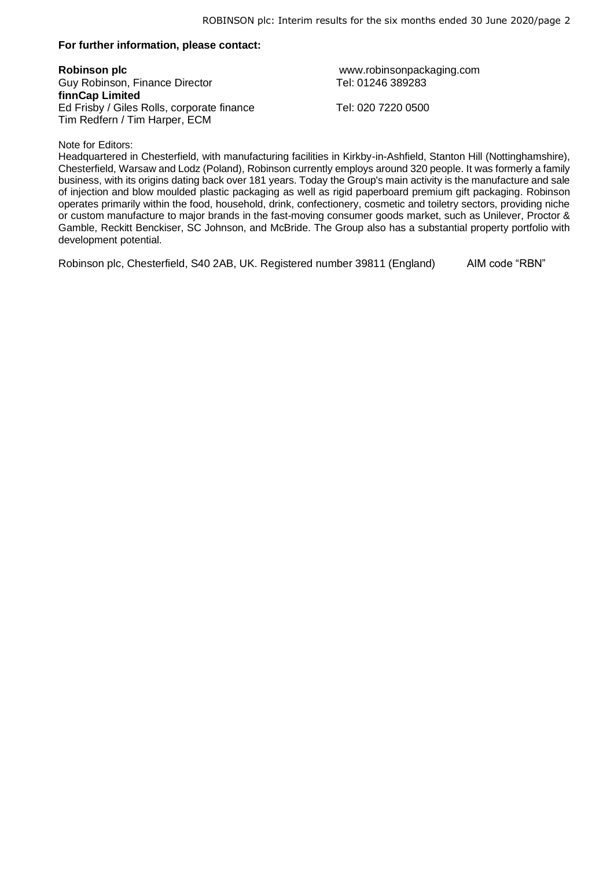#### **For further information, please contact:**

| Robinson plc                               | www.robinsonpackaging.com |
|--------------------------------------------|---------------------------|
| Guy Robinson, Finance Director             | Tel: 01246 389283         |
| finnCap Limited                            |                           |
| Ed Frisby / Giles Rolls, corporate finance | Tel: 020 7220 0500        |
| Tim Redfern / Tim Harper, ECM              |                           |

Note for Editors:

Headquartered in Chesterfield, with manufacturing facilities in Kirkby-in-Ashfield, Stanton Hill (Nottinghamshire), Chesterfield, Warsaw and Lodz (Poland), Robinson currently employs around 320 people. It was formerly a family business, with its origins dating back over 181 years. Today the Group's main activity is the manufacture and sale of injection and blow moulded plastic packaging as well as rigid paperboard premium gift packaging. Robinson operates primarily within the food, household, drink, confectionery, cosmetic and toiletry sectors, providing niche or custom manufacture to major brands in the fast-moving consumer goods market, such as Unilever, Proctor & Gamble, Reckitt Benckiser, SC Johnson, and McBride. The Group also has a substantial property portfolio with development potential.

Robinson plc, Chesterfield, S40 2AB, UK. Registered number 39811 (England) AIM code "RBN"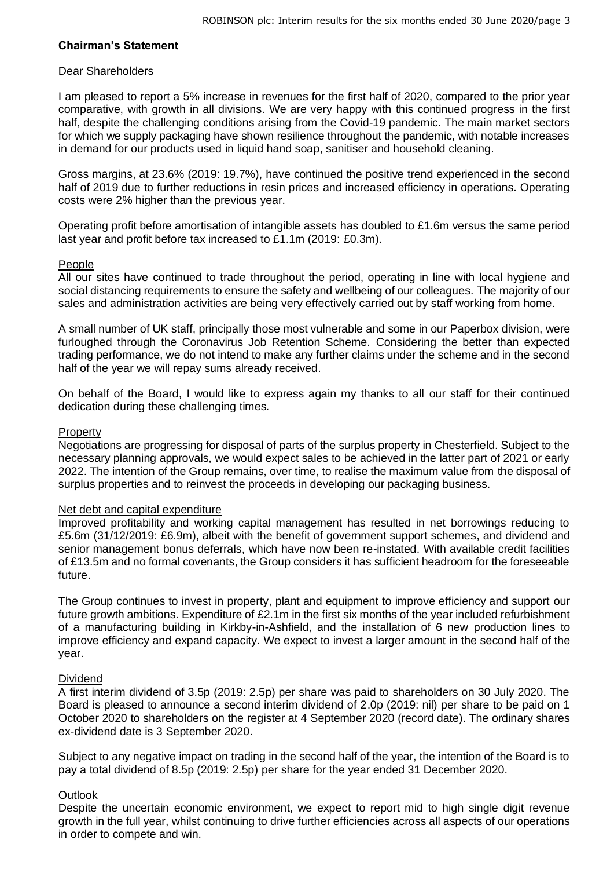### **Chairman's Statement**

#### Dear Shareholders

I am pleased to report a 5% increase in revenues for the first half of 2020, compared to the prior year comparative, with growth in all divisions. We are very happy with this continued progress in the first half, despite the challenging conditions arising from the Covid-19 pandemic. The main market sectors for which we supply packaging have shown resilience throughout the pandemic, with notable increases in demand for our products used in liquid hand soap, sanitiser and household cleaning.

Gross margins, at 23.6% (2019: 19.7%), have continued the positive trend experienced in the second half of 2019 due to further reductions in resin prices and increased efficiency in operations. Operating costs were 2% higher than the previous year.

Operating profit before amortisation of intangible assets has doubled to £1.6m versus the same period last year and profit before tax increased to £1.1m (2019: £0.3m).

### People

All our sites have continued to trade throughout the period, operating in line with local hygiene and social distancing requirements to ensure the safety and wellbeing of our colleagues. The majority of our sales and administration activities are being very effectively carried out by staff working from home.

A small number of UK staff, principally those most vulnerable and some in our Paperbox division, were furloughed through the Coronavirus Job Retention Scheme. Considering the better than expected trading performance, we do not intend to make any further claims under the scheme and in the second half of the year we will repay sums already received.

On behalf of the Board, I would like to express again my thanks to all our staff for their continued dedication during these challenging times*.*

### **Property**

Negotiations are progressing for disposal of parts of the surplus property in Chesterfield. Subject to the necessary planning approvals, we would expect sales to be achieved in the latter part of 2021 or early 2022. The intention of the Group remains, over time, to realise the maximum value from the disposal of surplus properties and to reinvest the proceeds in developing our packaging business.

#### Net debt and capital expenditure

Improved profitability and working capital management has resulted in net borrowings reducing to £5.6m (31/12/2019: £6.9m), albeit with the benefit of government support schemes, and dividend and senior management bonus deferrals, which have now been re-instated. With available credit facilities of £13.5m and no formal covenants, the Group considers it has sufficient headroom for the foreseeable future.

The Group continues to invest in property, plant and equipment to improve efficiency and support our future growth ambitions. Expenditure of £2.1m in the first six months of the year included refurbishment of a manufacturing building in Kirkby-in-Ashfield, and the installation of 6 new production lines to improve efficiency and expand capacity. We expect to invest a larger amount in the second half of the year.

#### Dividend

A first interim dividend of 3.5p (2019: 2.5p) per share was paid to shareholders on 30 July 2020. The Board is pleased to announce a second interim dividend of 2.0p (2019: nil) per share to be paid on 1 October 2020 to shareholders on the register at 4 September 2020 (record date). The ordinary shares ex-dividend date is 3 September 2020.

Subject to any negative impact on trading in the second half of the year, the intention of the Board is to pay a total dividend of 8.5p (2019: 2.5p) per share for the year ended 31 December 2020.

### **Outlook**

Despite the uncertain economic environment, we expect to report mid to high single digit revenue growth in the full year, whilst continuing to drive further efficiencies across all aspects of our operations in order to compete and win.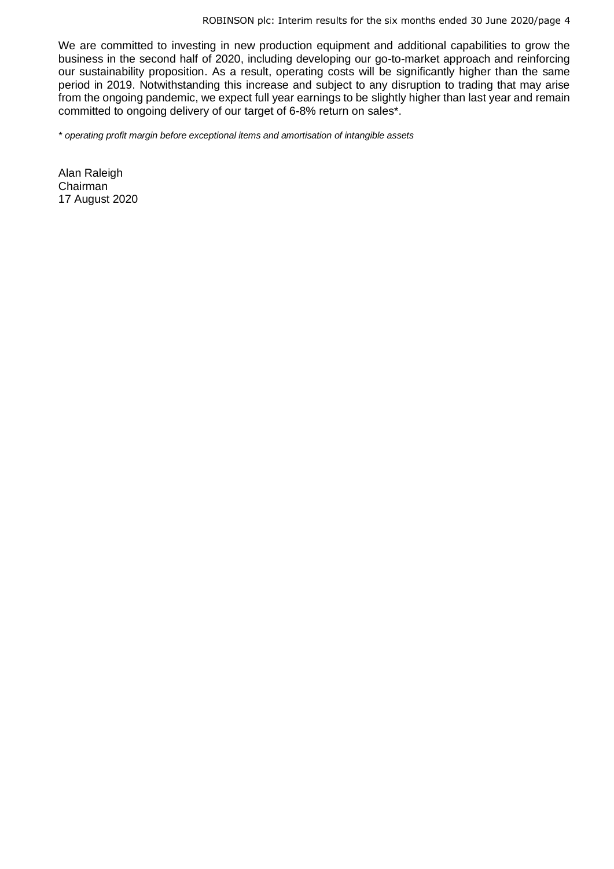We are committed to investing in new production equipment and additional capabilities to grow the business in the second half of 2020, including developing our go-to-market approach and reinforcing our sustainability proposition. As a result, operating costs will be significantly higher than the same period in 2019. Notwithstanding this increase and subject to any disruption to trading that may arise from the ongoing pandemic, we expect full year earnings to be slightly higher than last year and remain committed to ongoing delivery of our target of 6-8% return on sales\*.

*\* operating profit margin before exceptional items and amortisation of intangible assets*

Alan Raleigh Chairman 17 August 2020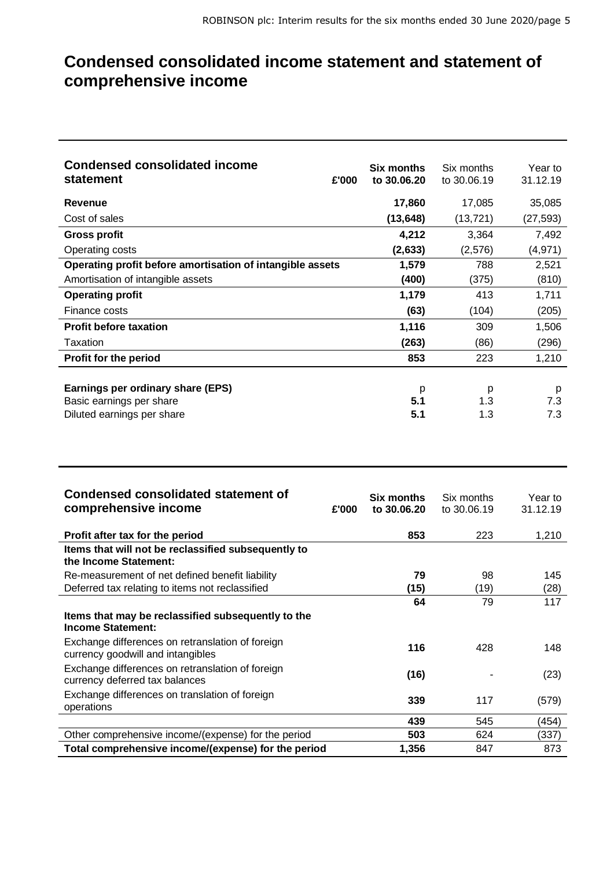### **Condensed consolidated income statement and statement of comprehensive income**

| <b>Condensed consolidated income</b>                                             |       | <b>Six months</b> | Six months  | Year to        |
|----------------------------------------------------------------------------------|-------|-------------------|-------------|----------------|
| statement                                                                        | £'000 | to 30.06.20       | to 30.06.19 | 31.12.19       |
|                                                                                  |       |                   |             |                |
| <b>Revenue</b>                                                                   |       | 17,860            | 17,085      | 35,085         |
| Cost of sales                                                                    |       | (13, 648)         | (13, 721)   | (27, 593)      |
| <b>Gross profit</b>                                                              |       | 4,212             | 3,364       | 7,492          |
| Operating costs                                                                  |       | (2,633)           | (2,576)     | (4, 971)       |
| Operating profit before amortisation of intangible assets                        |       | 1,579             | 788         | 2,521          |
| Amortisation of intangible assets                                                |       | (400)             | (375)       | (810)          |
| <b>Operating profit</b>                                                          |       | 1,179             | 413         | 1,711          |
| Finance costs                                                                    |       | (63)              | (104)       | (205)          |
| <b>Profit before taxation</b>                                                    |       | 1,116             | 309         | 1,506          |
| <b>Taxation</b>                                                                  |       | (263)             | (86)        | (296)          |
| Profit for the period                                                            |       | 853               | 223         | 1,210          |
|                                                                                  |       |                   |             |                |
| Earnings per ordinary share (EPS)                                                |       | р                 | p           | p              |
| Basic earnings per share                                                         |       | 5.1               | 1.3         | 7.3            |
| Diluted earnings per share                                                       |       | 5.1               | 1.3         | 7.3            |
|                                                                                  |       |                   |             |                |
|                                                                                  |       |                   |             |                |
|                                                                                  |       |                   |             |                |
|                                                                                  |       |                   |             |                |
|                                                                                  |       |                   |             |                |
| <b>Condensed consolidated statement of</b>                                       |       | <b>Six months</b> | Six months  | Year to        |
| comprehensive income                                                             | £'000 | to 30.06.20       | to 30.06.19 | 31.12.19       |
|                                                                                  |       |                   |             |                |
| Profit after tax for the period                                                  |       | 853               | 223         | 1,210          |
| Items that will not be reclassified subsequently to<br>the Income Statement:     |       |                   |             |                |
| Re-measurement of net defined benefit liability                                  |       | 79                | 98          | 145            |
| Deferred tax relating to items not reclassified                                  |       | (15)              | (19)        | (28)           |
|                                                                                  |       | 64                | 79          | 117            |
| Items that may be reclassified subsequently to the                               |       |                   |             |                |
| <b>Income Statement:</b>                                                         |       |                   |             |                |
| Exchange differences on retranslation of foreign                                 |       | 116               | 428         | 148            |
| currency goodwill and intangibles                                                |       |                   |             |                |
| Exchange differences on retranslation of foreign                                 |       | (16)              |             | (23)           |
| currency deferred tax balances<br>Exchange differences on translation of foreign |       |                   |             |                |
|                                                                                  |       |                   |             |                |
|                                                                                  |       | 339               | 117         | (579)          |
| operations                                                                       |       |                   |             |                |
| Other comprehensive income/(expense) for the period                              |       | 439<br>503        | 545<br>624  | (454)<br>(337) |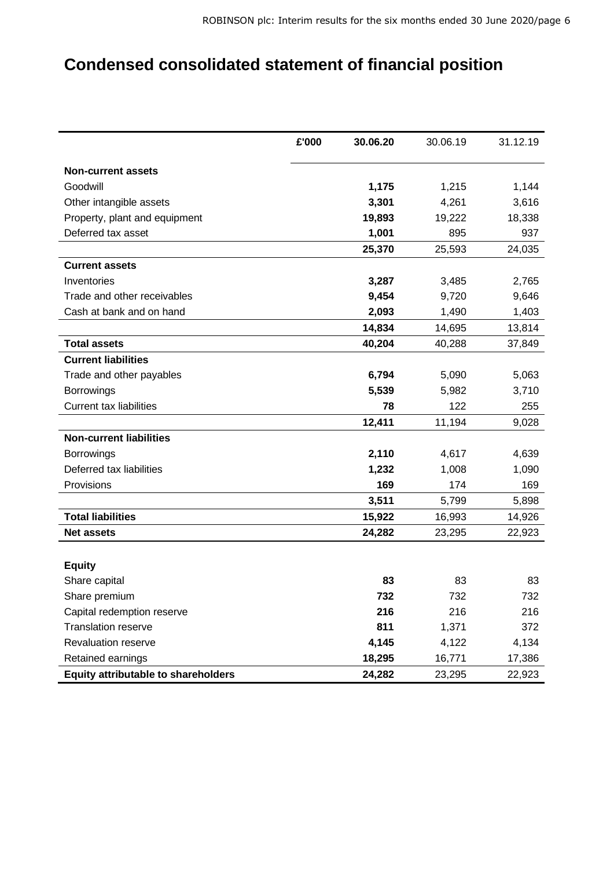# **Condensed consolidated statement of financial position**

|                                            | £'000 | 30.06.20 | 30.06.19 | 31.12.19 |
|--------------------------------------------|-------|----------|----------|----------|
| <b>Non-current assets</b>                  |       |          |          |          |
| Goodwill                                   |       | 1,175    | 1,215    | 1,144    |
| Other intangible assets                    |       | 3,301    | 4,261    | 3,616    |
| Property, plant and equipment              |       | 19,893   | 19,222   | 18,338   |
| Deferred tax asset                         |       | 1,001    | 895      | 937      |
|                                            |       | 25,370   | 25,593   | 24,035   |
| <b>Current assets</b>                      |       |          |          |          |
| Inventories                                |       | 3,287    | 3,485    | 2,765    |
| Trade and other receivables                |       | 9,454    | 9,720    | 9,646    |
| Cash at bank and on hand                   |       | 2,093    | 1,490    | 1,403    |
|                                            |       | 14,834   | 14,695   | 13,814   |
| <b>Total assets</b>                        |       | 40,204   | 40,288   | 37,849   |
| <b>Current liabilities</b>                 |       |          |          |          |
| Trade and other payables                   |       | 6,794    | 5,090    | 5,063    |
| Borrowings                                 |       | 5,539    | 5,982    | 3,710    |
| <b>Current tax liabilities</b>             |       | 78       | 122      | 255      |
|                                            |       | 12,411   | 11,194   | 9,028    |
| <b>Non-current liabilities</b>             |       |          |          |          |
| <b>Borrowings</b>                          |       | 2,110    | 4,617    | 4,639    |
| Deferred tax liabilities                   |       | 1,232    | 1,008    | 1,090    |
| Provisions                                 |       | 169      | 174      | 169      |
|                                            |       | 3,511    | 5,799    | 5,898    |
| <b>Total liabilities</b>                   |       | 15,922   | 16,993   | 14,926   |
| <b>Net assets</b>                          |       | 24,282   | 23,295   | 22,923   |
|                                            |       |          |          |          |
| <b>Equity</b>                              |       |          |          |          |
| Share capital                              |       | 83       | 83       | 83       |
| Share premium                              |       | 732      | 732      | 732      |
| Capital redemption reserve                 |       | 216      | 216      | 216      |
| <b>Translation reserve</b>                 |       | 811      | 1,371    | 372      |
| Revaluation reserve                        |       | 4,145    | 4,122    | 4,134    |
| Retained earnings                          |       | 18,295   | 16,771   | 17,386   |
| <b>Equity attributable to shareholders</b> |       | 24,282   | 23,295   | 22,923   |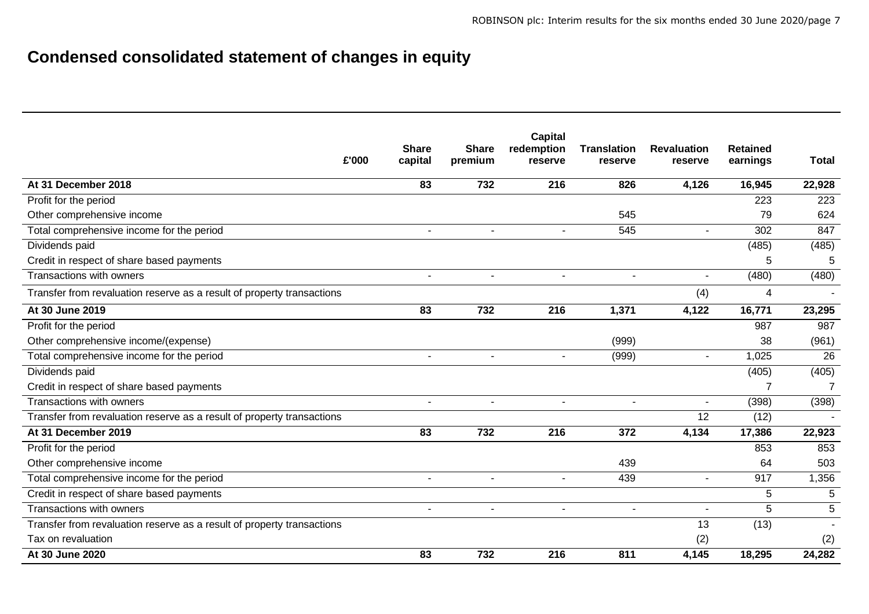## **Condensed consolidated statement of changes in equity**

| £'000                                                                  | <b>Share</b><br>capital  | <b>Share</b><br>premium | <b>Capital</b><br>redemption<br>reserve | <b>Translation</b><br>reserve | <b>Revaluation</b><br>reserve | <b>Retained</b><br>earnings | <b>Total</b> |
|------------------------------------------------------------------------|--------------------------|-------------------------|-----------------------------------------|-------------------------------|-------------------------------|-----------------------------|--------------|
| At 31 December 2018                                                    | 83                       | 732                     | 216                                     | 826                           | 4,126                         | 16,945                      | 22,928       |
| Profit for the period                                                  |                          |                         |                                         |                               |                               | 223                         | 223          |
| Other comprehensive income                                             |                          |                         |                                         | 545                           |                               | 79                          | 624          |
| Total comprehensive income for the period                              | $\blacksquare$           | $\blacksquare$          | $\blacksquare$                          | 545                           | $\overline{\phantom{a}}$      | 302                         | 847          |
| Dividends paid                                                         |                          |                         |                                         |                               |                               | (485)                       | (485)        |
| Credit in respect of share based payments                              |                          |                         |                                         |                               |                               | 5                           | 5            |
| Transactions with owners                                               |                          | $\blacksquare$          | $\blacksquare$                          | $\overline{\phantom{a}}$      | $\overline{\phantom{a}}$      | (480)                       | (480)        |
| Transfer from revaluation reserve as a result of property transactions |                          |                         |                                         |                               | (4)                           | 4                           |              |
| At 30 June 2019                                                        | 83                       | 732                     | 216                                     | 1,371                         | 4,122                         | 16,771                      | 23,295       |
| Profit for the period                                                  |                          |                         |                                         |                               |                               | 987                         | 987          |
| Other comprehensive income/(expense)                                   |                          |                         |                                         | (999)                         |                               | 38                          | (961)        |
| Total comprehensive income for the period                              | $\overline{a}$           | ÷.                      | ÷.                                      | (999)                         | $\sim$                        | 1,025                       | 26           |
| Dividends paid                                                         |                          |                         |                                         |                               |                               | (405)                       | (405)        |
| Credit in respect of share based payments                              |                          |                         |                                         |                               |                               |                             |              |
| Transactions with owners                                               | $\overline{a}$           | ÷.                      | $\sim$                                  | $\sim$                        | $\sim$                        | (398)                       | (398)        |
| Transfer from revaluation reserve as a result of property transactions |                          |                         |                                         |                               | 12                            | (12)                        |              |
| At 31 December 2019                                                    | 83                       | 732                     | 216                                     | 372                           | 4,134                         | 17,386                      | 22,923       |
| Profit for the period                                                  |                          |                         |                                         |                               |                               | 853                         | 853          |
| Other comprehensive income                                             |                          |                         |                                         | 439                           |                               | 64                          | 503          |
| Total comprehensive income for the period                              | $\sim$                   | $\sim$                  | $\sim$                                  | 439                           | $\sim$                        | 917                         | 1,356        |
| Credit in respect of share based payments                              |                          |                         |                                         |                               |                               | 5                           | 5            |
| Transactions with owners                                               | $\overline{\phantom{a}}$ | $\sim$                  | ä,                                      | $\sim$                        | $\sim$                        | 5                           | 5            |
| Transfer from revaluation reserve as a result of property transactions |                          |                         |                                         |                               | 13                            | (13)                        |              |
| Tax on revaluation                                                     |                          |                         |                                         |                               | (2)                           |                             | (2)          |
| At 30 June 2020                                                        | 83                       | 732                     | 216                                     | 811                           | 4,145                         | 18,295                      | 24,282       |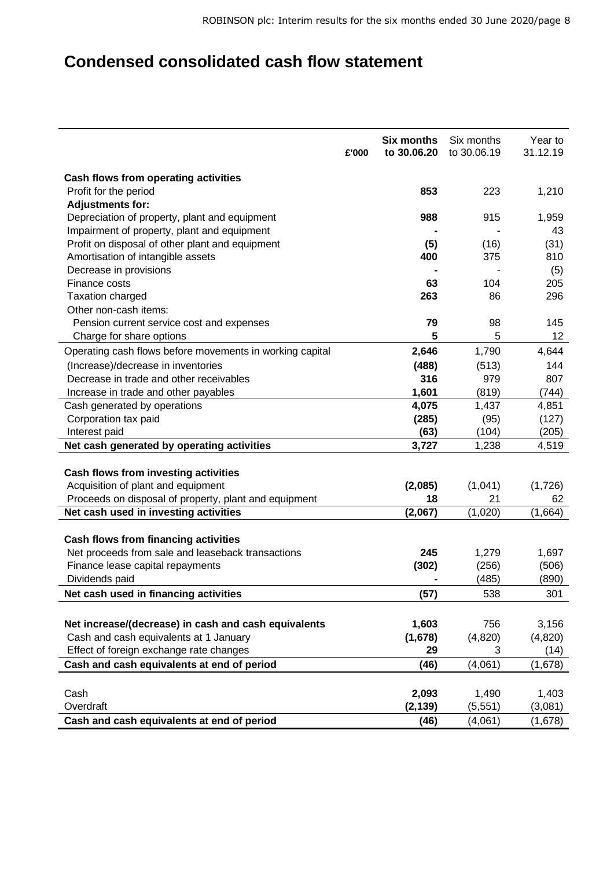### **Condensed consolidated cash flow statement**

|                                                          | £'000 | <b>Six months</b><br>to 30.06.20 | Six months<br>to 30.06.19 | Year to<br>31.12.19 |
|----------------------------------------------------------|-------|----------------------------------|---------------------------|---------------------|
|                                                          |       |                                  |                           |                     |
| <b>Cash flows from operating activities</b>              |       |                                  |                           |                     |
| Profit for the period                                    |       | 853                              | 223                       | 1,210               |
| <b>Adjustments for:</b>                                  |       |                                  |                           |                     |
| Depreciation of property, plant and equipment            |       | 988                              | 915                       | 1,959               |
| Impairment of property, plant and equipment              |       |                                  |                           | 43                  |
| Profit on disposal of other plant and equipment          |       | (5)                              | (16)                      | (31)                |
| Amortisation of intangible assets                        |       | 400                              | 375                       | 810                 |
| Decrease in provisions                                   |       |                                  |                           | (5)                 |
| Finance costs                                            |       | 63                               | 104                       | 205                 |
| <b>Taxation charged</b>                                  |       | 263                              | 86                        | 296                 |
| Other non-cash items:                                    |       |                                  |                           |                     |
| Pension current service cost and expenses                |       | 79                               | 98                        | 145                 |
| Charge for share options                                 |       | 5                                | 5                         | 12 <sup>°</sup>     |
| Operating cash flows before movements in working capital |       | 2,646                            | 1,790                     | 4,644               |
| (Increase)/decrease in inventories                       |       | (488)                            | (513)                     | 144                 |
| Decrease in trade and other receivables                  |       | 316                              | 979                       | 807                 |
| Increase in trade and other payables                     |       | 1,601                            | (819)                     | (744)               |
| Cash generated by operations                             |       | 4,075                            | 1,437                     | 4,851               |
| Corporation tax paid                                     |       | (285)                            | (95)                      | (127)               |
| Interest paid                                            |       | (63)                             | (104)                     | (205)               |
| Net cash generated by operating activities               |       | 3,727                            | 1,238                     | 4,519               |
|                                                          |       |                                  |                           |                     |
| <b>Cash flows from investing activities</b>              |       |                                  |                           |                     |
| Acquisition of plant and equipment                       |       | (2,085)                          | (1,041)                   | (1,726)             |
| Proceeds on disposal of property, plant and equipment    |       | 18                               | 21                        | 62                  |
| Net cash used in investing activities                    |       | (2,067)                          | (1,020)                   | (1,664)             |
|                                                          |       |                                  |                           |                     |
| Cash flows from financing activities                     |       |                                  |                           |                     |
| Net proceeds from sale and leaseback transactions        |       | 245                              | 1,279                     | 1,697               |
| Finance lease capital repayments                         |       | (302)                            | (256)                     | (506)               |
| Dividends paid                                           |       |                                  | (485)                     | (890)               |
| Net cash used in financing activities                    |       | (57)                             | 538                       | 301                 |
|                                                          |       |                                  |                           |                     |
| Net increase/(decrease) in cash and cash equivalents     |       | 1,603                            | 756                       | 3,156               |
| Cash and cash equivalents at 1 January                   |       | (1,678)                          | (4,820)                   | (4,820)             |
| Effect of foreign exchange rate changes                  |       | 29                               | 3                         | (14)                |
| Cash and cash equivalents at end of period               |       | (46)                             | (4,061)                   | (1,678)             |
|                                                          |       |                                  |                           |                     |
| Cash                                                     |       | 2,093                            | 1,490                     | 1,403               |
| Overdraft                                                |       | (2, 139)                         | (5, 551)                  | (3,081)             |
| Cash and cash equivalents at end of period               |       | (46)                             | (4,061)                   | (1,678)             |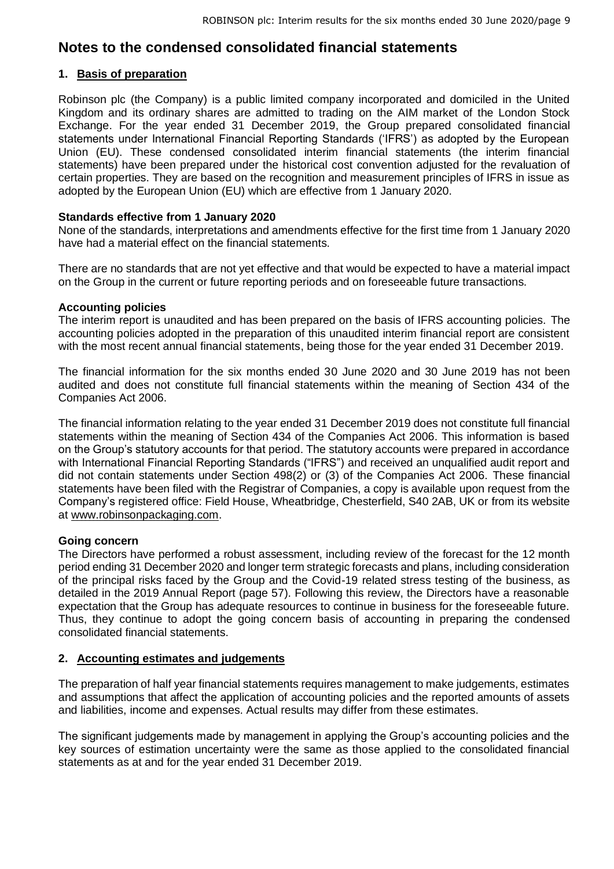### **Notes to the condensed consolidated financial statements**

### **1. Basis of preparation**

Robinson plc (the Company) is a public limited company incorporated and domiciled in the United Kingdom and its ordinary shares are admitted to trading on the AIM market of the London Stock Exchange. For the year ended 31 December 2019, the Group prepared consolidated financial statements under International Financial Reporting Standards ('IFRS') as adopted by the European Union (EU). These condensed consolidated interim financial statements (the interim financial statements) have been prepared under the historical cost convention adjusted for the revaluation of certain properties. They are based on the recognition and measurement principles of IFRS in issue as adopted by the European Union (EU) which are effective from 1 January 2020.

### **Standards effective from 1 January 2020**

None of the standards, interpretations and amendments effective for the first time from 1 January 2020 have had a material effect on the financial statements.

There are no standards that are not yet effective and that would be expected to have a material impact on the Group in the current or future reporting periods and on foreseeable future transactions.

### **Accounting policies**

The interim report is unaudited and has been prepared on the basis of IFRS accounting policies. The accounting policies adopted in the preparation of this unaudited interim financial report are consistent with the most recent annual financial statements, being those for the year ended 31 December 2019.

The financial information for the six months ended 30 June 2020 and 30 June 2019 has not been audited and does not constitute full financial statements within the meaning of Section 434 of the Companies Act 2006.

The financial information relating to the year ended 31 December 2019 does not constitute full financial statements within the meaning of Section 434 of the Companies Act 2006. This information is based on the Group's statutory accounts for that period. The statutory accounts were prepared in accordance with International Financial Reporting Standards ("IFRS") and received an unqualified audit report and did not contain statements under Section 498(2) or (3) of the Companies Act 2006. These financial statements have been filed with the Registrar of Companies, a copy is available upon request from the Company's registered office: Field House, Wheatbridge, Chesterfield, S40 2AB, UK or from its website at [www.robinsonpackaging.com.](http://www.robinsonpackaging.com/)

### **Going concern**

The Directors have performed a robust assessment, including review of the forecast for the 12 month period ending 31 December 2020 and longer term strategic forecasts and plans, including consideration of the principal risks faced by the Group and the Covid-19 related stress testing of the business, as detailed in the 2019 Annual Report (page 57). Following this review, the Directors have a reasonable expectation that the Group has adequate resources to continue in business for the foreseeable future. Thus, they continue to adopt the going concern basis of accounting in preparing the condensed consolidated financial statements.

### **2. Accounting estimates and judgements**

The preparation of half year financial statements requires management to make judgements, estimates and assumptions that affect the application of accounting policies and the reported amounts of assets and liabilities, income and expenses. Actual results may differ from these estimates.

The significant judgements made by management in applying the Group's accounting policies and the key sources of estimation uncertainty were the same as those applied to the consolidated financial statements as at and for the year ended 31 December 2019.